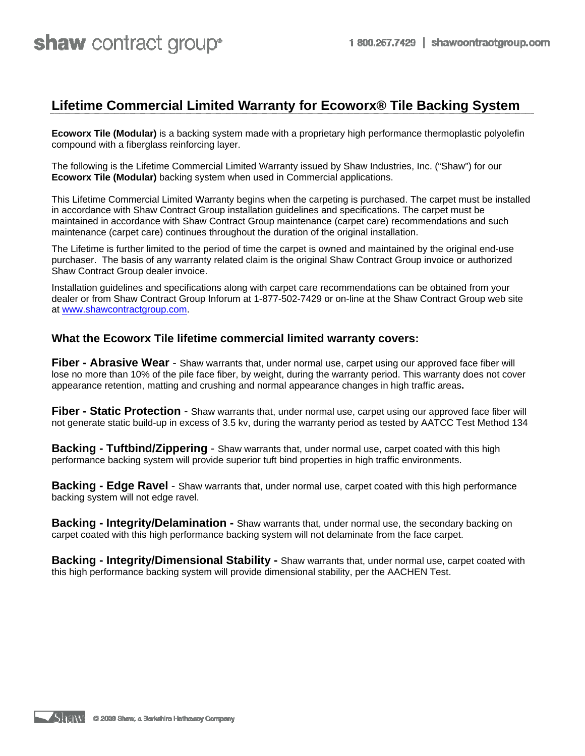# **Lifetime Commercial Limited Warranty for Ecoworx® Tile Backing System**

**Ecoworx Tile (Modular)** is a backing system made with a proprietary high performance thermoplastic polyolefin compound with a fiberglass reinforcing layer.

The following is the Lifetime Commercial Limited Warranty issued by Shaw Industries, Inc. ("Shaw") for our **Ecoworx Tile (Modular)** backing system when used in Commercial applications.

This Lifetime Commercial Limited Warranty begins when the carpeting is purchased. The carpet must be installed in accordance with Shaw Contract Group installation guidelines and specifications. The carpet must be maintained in accordance with Shaw Contract Group maintenance (carpet care) recommendations and such maintenance (carpet care) continues throughout the duration of the original installation.

The Lifetime is further limited to the period of time the carpet is owned and maintained by the original end-use purchaser. The basis of any warranty related claim is the original Shaw Contract Group invoice or authorized Shaw Contract Group dealer invoice.

Installation guidelines and specifications along with carpet care recommendations can be obtained from your dealer or from Shaw Contract Group Inforum at 1-877-502-7429 or on-line at the Shaw Contract Group web site at www.shawcontractgroup.com.

#### **What the Ecoworx Tile lifetime commercial limited warranty covers:**

**Fiber - Abrasive Wear** - Shaw warrants that, under normal use, carpet using our approved face fiber will lose no more than 10% of the pile face fiber, by weight, during the warranty period. This warranty does not cover appearance retention, matting and crushing and normal appearance changes in high traffic areas**.** 

**Fiber - Static Protection** - Shaw warrants that, under normal use, carpet using our approved face fiber will not generate static build-up in excess of 3.5 kv, during the warranty period as tested by AATCC Test Method 134

**Backing - Tuftbind/Zippering** - Shaw warrants that, under normal use, carpet coated with this high performance backing system will provide superior tuft bind properties in high traffic environments.

**Backing - Edge Ravel** - Shaw warrants that, under normal use, carpet coated with this high performance backing system will not edge ravel.

**Backing - Integrity/Delamination -** Shaw warrants that, under normal use, the secondary backing on carpet coated with this high performance backing system will not delaminate from the face carpet.

**Backing - Integrity/Dimensional Stability -** Shaw warrants that, under normal use, carpet coated with this high performance backing system will provide dimensional stability, per the AACHEN Test.